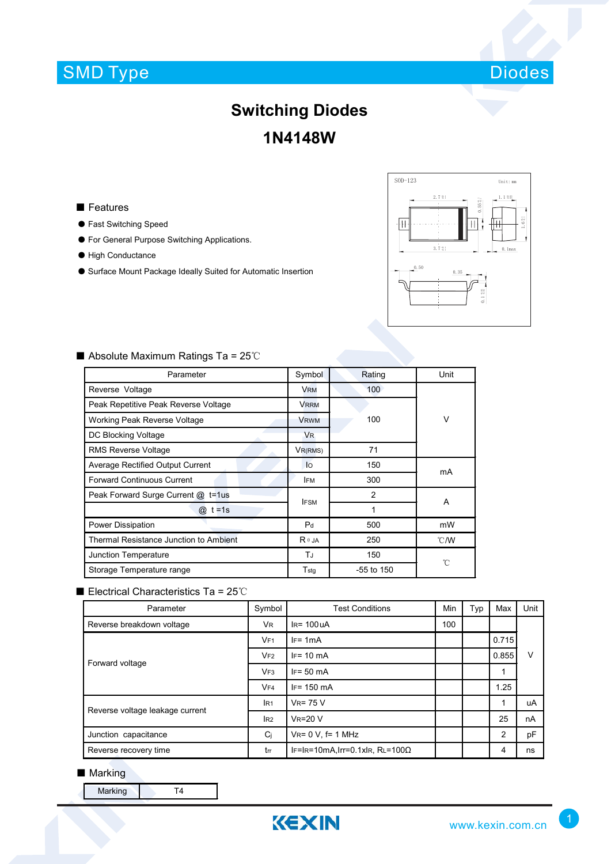# SMD Type



## **Switching Diodes 1N4148W**

#### ■ Features

- Fast Switching Speed
- For General Purpose Switching Applications.
- High Conductance
- Surface Mount Package Ideally Suited for Automatic Insertion



| Parameter                               | Symbol         | Rating       | Unit           |  |  |
|-----------------------------------------|----------------|--------------|----------------|--|--|
| Reverse Voltage                         | <b>VRM</b>     | 100          |                |  |  |
| Peak Repetitive Peak Reverse Voltage    | <b>VRRM</b>    |              |                |  |  |
| Working Peak Reverse Voltage            | <b>VRWM</b>    | 100          | V              |  |  |
| DC Blocking Voltage                     | <b>VR</b>      |              |                |  |  |
| <b>RMS Reverse Voltage</b>              | $V_{R(RMS)}$   | 71           |                |  |  |
| <b>Average Rectified Output Current</b> | lo             | 150          |                |  |  |
| <b>Forward Continuous Current</b>       | <b>IFM</b>     | 300          | mA             |  |  |
| Peak Forward Surge Current @ t=1us      | <b>IFSM</b>    | 2            |                |  |  |
| $t = 1s$<br>$^{\circledR}$              |                | 1            | A              |  |  |
| Power Dissipation                       | P <sub>d</sub> | 500          | mW             |  |  |
| Thermal Resistance Junction to Ambient  | $R \theta$ JA  | 250          | $^{\circ}$ C/W |  |  |
| Junction Temperature                    | TJ             | 150          |                |  |  |
| Storage Temperature range               | $T_{\rm stg}$  | $-55$ to 150 | °C             |  |  |

### ■ Absolute Maximum Ratings Ta = 25℃

### ■ Electrical Characteristics Ta = 25℃

| Parameter                       | Symbol          | <b>Test Conditions</b>                  | <b>Min</b> | Typ | Max   | Unit |
|---------------------------------|-----------------|-----------------------------------------|------------|-----|-------|------|
| Reverse breakdown voltage       | VR.             | $IR = 100 uA$                           | 100        |     |       |      |
| Forward voltage                 | V <sub>F1</sub> | $IF = 1mA$                              |            |     | 0.715 | V    |
|                                 | VF2             | $IF = 10 \text{ mA}$                    |            |     | 0.855 |      |
|                                 | VF3             | $IF = 50 mA$                            |            |     |       |      |
|                                 | VFA             | $IF = 150 \text{ mA}$                   |            |     | 1.25  |      |
| Reverse voltage leakage current | IR <sub>1</sub> | $V_R = 75 V$                            |            |     | 1     | uA   |
|                                 | IR2             | $V_R = 20 V$                            |            |     | 25    | nA   |
| Junction capacitance            | $C_j$           | $V_{R} = 0 V$ , f= 1 MHz                |            |     | 2     | pF   |
| Reverse recovery time           | trr             | IF=IR=10mA, Irr=0.1xIR, RL=100 $\Omega$ |            |     | 4     | ns   |

#### ■ Marking

Marking T4